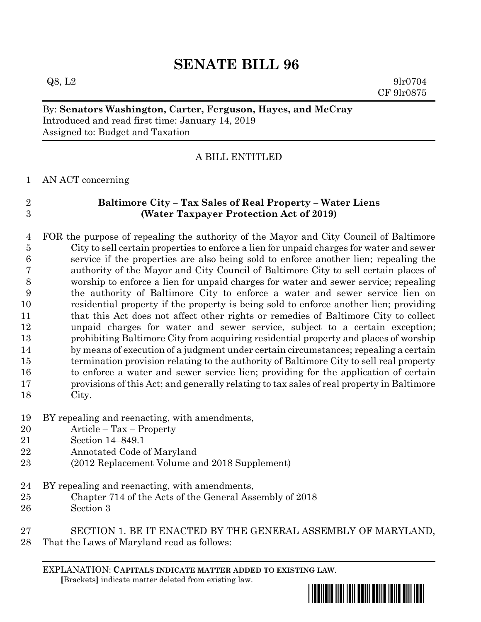# **SENATE BILL 96**

 $Q8, L2$  9lr0704 CF 9lr0875

By: **Senators Washington, Carter, Ferguson, Hayes, and McCray** Introduced and read first time: January 14, 2019 Assigned to: Budget and Taxation

## A BILL ENTITLED

### AN ACT concerning

### **Baltimore City – Tax Sales of Real Property – Water Liens (Water Taxpayer Protection Act of 2019)**

 FOR the purpose of repealing the authority of the Mayor and City Council of Baltimore City to sell certain properties to enforce a lien for unpaid charges for water and sewer service if the properties are also being sold to enforce another lien; repealing the authority of the Mayor and City Council of Baltimore City to sell certain places of worship to enforce a lien for unpaid charges for water and sewer service; repealing the authority of Baltimore City to enforce a water and sewer service lien on residential property if the property is being sold to enforce another lien; providing that this Act does not affect other rights or remedies of Baltimore City to collect unpaid charges for water and sewer service, subject to a certain exception; prohibiting Baltimore City from acquiring residential property and places of worship 14 by means of execution of a judgment under certain circumstances; repealing a certain termination provision relating to the authority of Baltimore City to sell real property to enforce a water and sewer service lien; providing for the application of certain provisions of this Act; and generally relating to tax sales of real property in Baltimore City.

## BY repealing and reenacting, with amendments,

- Article Tax Property
- Section 14–849.1
- Annotated Code of Maryland
- (2012 Replacement Volume and 2018 Supplement)
- BY repealing and reenacting, with amendments,
- Chapter 714 of the Acts of the General Assembly of 2018
- Section 3

# SECTION 1. BE IT ENACTED BY THE GENERAL ASSEMBLY OF MARYLAND,

That the Laws of Maryland read as follows:

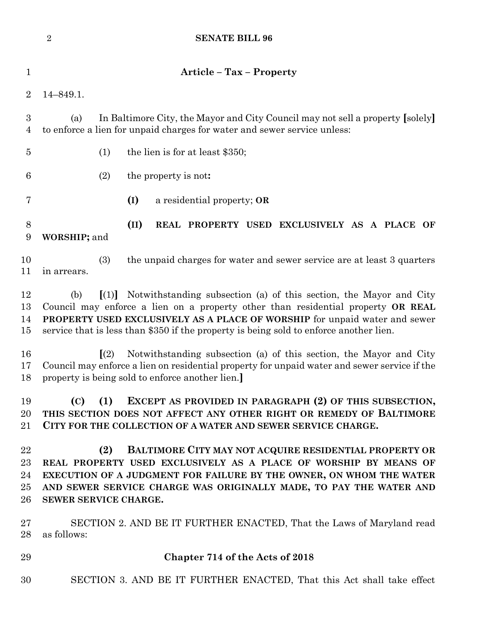| $\sqrt{2}$<br><b>SENATE BILL 96</b>                                                                                                                                                                                                                                                                                                                           |
|---------------------------------------------------------------------------------------------------------------------------------------------------------------------------------------------------------------------------------------------------------------------------------------------------------------------------------------------------------------|
| <b>Article - Tax - Property</b>                                                                                                                                                                                                                                                                                                                               |
| $14 - 849.1.$                                                                                                                                                                                                                                                                                                                                                 |
| In Baltimore City, the Mayor and City Council may not sell a property [solely]<br>(a)<br>to enforce a lien for unpaid charges for water and sewer service unless:                                                                                                                                                                                             |
| (1)<br>the lien is for at least \$350;                                                                                                                                                                                                                                                                                                                        |
| (2)<br>the property is not:                                                                                                                                                                                                                                                                                                                                   |
| (I)<br>a residential property; OR                                                                                                                                                                                                                                                                                                                             |
| (II)<br>REAL PROPERTY USED EXCLUSIVELY AS A PLACE OF<br>WORSHIP; and                                                                                                                                                                                                                                                                                          |
| (3)<br>the unpaid charges for water and sewer service are at least 3 quarters<br>in arrears.                                                                                                                                                                                                                                                                  |
| Notwithstanding subsection (a) of this section, the Mayor and City<br>(b)<br>$\left[ (1) \right]$<br>Council may enforce a lien on a property other than residential property OR REAL<br>PROPERTY USED EXCLUSIVELY AS A PLACE OF WORSHIP for unpaid water and sewer<br>service that is less than \$350 if the property is being sold to enforce another lien. |
| $\sqrt{(2)}$<br>Notwithstanding subsection (a) of this section, the Mayor and City<br>Council may enforce a lien on residential property for unpaid water and sewer service if the<br>property is being sold to enforce another lien.                                                                                                                         |
| EXCEPT AS PROVIDED IN PARAGRAPH (2) OF THIS SUBSECTION,<br>(C)<br>(1)<br>THIS SECTION DOES NOT AFFECT ANY OTHER RIGHT OR REMEDY OF BALTIMORE<br>CITY FOR THE COLLECTION OF A WATER AND SEWER SERVICE CHARGE.                                                                                                                                                  |
| <b>BALTIMORE CITY MAY NOT ACQUIRE RESIDENTIAL PROPERTY OR</b><br>(2)<br>REAL PROPERTY USED EXCLUSIVELY AS A PLACE OF WORSHIP BY MEANS OF<br>EXECUTION OF A JUDGMENT FOR FAILURE BY THE OWNER, ON WHOM THE WATER<br>AND SEWER SERVICE CHARGE WAS ORIGINALLY MADE, TO PAY THE WATER AND<br>SEWER SERVICE CHARGE.                                                |
| SECTION 2. AND BE IT FURTHER ENACTED, That the Laws of Maryland read<br>as follows:                                                                                                                                                                                                                                                                           |
| Chapter 714 of the Acts of 2018                                                                                                                                                                                                                                                                                                                               |
| SECTION 3. AND BE IT FURTHER ENACTED, That this Act shall take effect                                                                                                                                                                                                                                                                                         |
|                                                                                                                                                                                                                                                                                                                                                               |